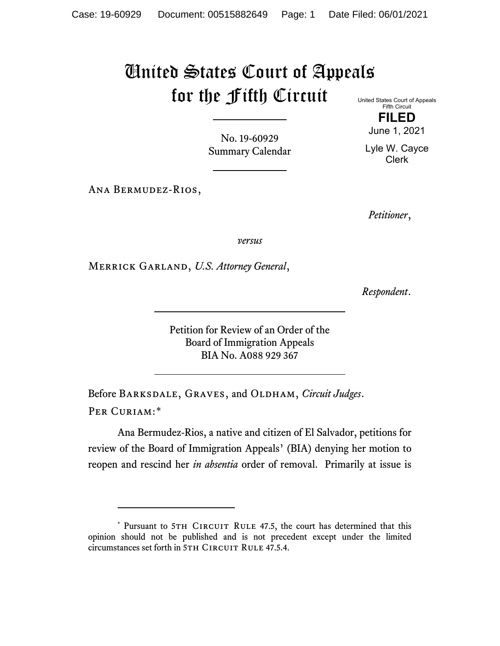## United States Court of Appeals for the Fifth Circuit

No. 19-60929 Summary Calendar

Ana Bermudez-Rios,

United States Court of Appeals Fifth Circuit

> **FILED** June 1, 2021

Lyle W. Cayce Clerk

*Petitioner*,

*versus*

Merrick Garland, *U.S. Attorney General*,

*Respondent*.

Petition for Review of an Order of the Board of Immigration Appeals BIA No. A088 929 367

Before BARKSDALE, GRAVES, and OLDHAM, *Circuit Judges*. Per Curiam:[\\*](#page-0-0)

Ana Bermudez-Rios, a native and citizen of El Salvador, petitions for review of the Board of Immigration Appeals' (BIA) denying her motion to reopen and rescind her *in absentia* order of removal. Primarily at issue is

<span id="page-0-0"></span><sup>\*</sup> Pursuant to 5TH CIRCUIT RULE 47.5, the court has determined that this opinion should not be published and is not precedent except under the limited circumstances set forth in 5TH CIRCUIT RULE 47.5.4.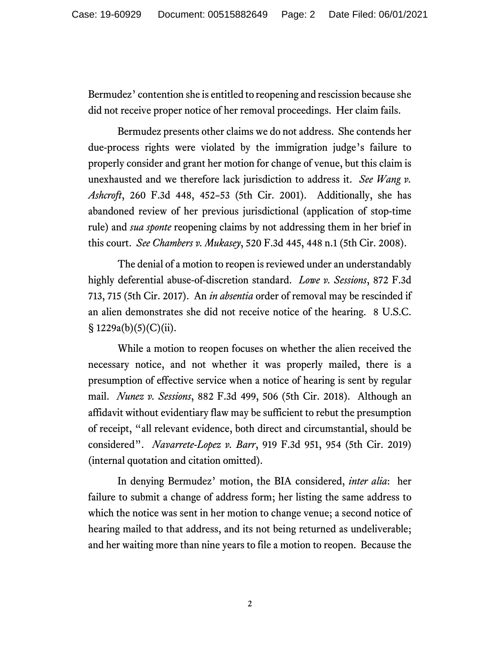Bermudez' contention she is entitled to reopening and rescission because she did not receive proper notice of her removal proceedings. Her claim fails.

Bermudez presents other claims we do not address. She contends her due-process rights were violated by the immigration judge's failure to properly consider and grant her motion for change of venue, but this claim is unexhausted and we therefore lack jurisdiction to address it. *See Wang v. Ashcroft*, 260 F.3d 448, 452–53 (5th Cir. 2001). Additionally, she has abandoned review of her previous jurisdictional (application of stop-time rule) and *sua sponte* reopening claims by not addressing them in her brief in this court. *See Chambers v. Mukasey*, 520 F.3d 445, 448 n.1 (5th Cir. 2008).

The denial of a motion to reopen is reviewed under an understandably highly deferential abuse-of-discretion standard. *Lowe v. Sessions*, 872 F.3d 713, 715 (5th Cir. 2017). An *in absentia* order of removal may be rescinded if an alien demonstrates she did not receive notice of the hearing. 8 U.S.C.  $\S 1229a(b)(5)(C)(ii)$ .

While a motion to reopen focuses on whether the alien received the necessary notice, and not whether it was properly mailed, there is a presumption of effective service when a notice of hearing is sent by regular mail. *Nunez v. Sessions*, 882 F.3d 499, 506 (5th Cir. 2018). Although an affidavit without evidentiary flaw may be sufficient to rebut the presumption of receipt, "all relevant evidence, both direct and circumstantial, should be considered". *Navarrete-Lopez v. Barr*, 919 F.3d 951, 954 (5th Cir. 2019) (internal quotation and citation omitted).

In denying Bermudez' motion, the BIA considered, *inter alia*: her failure to submit a change of address form; her listing the same address to which the notice was sent in her motion to change venue; a second notice of hearing mailed to that address, and its not being returned as undeliverable; and her waiting more than nine years to file a motion to reopen. Because the